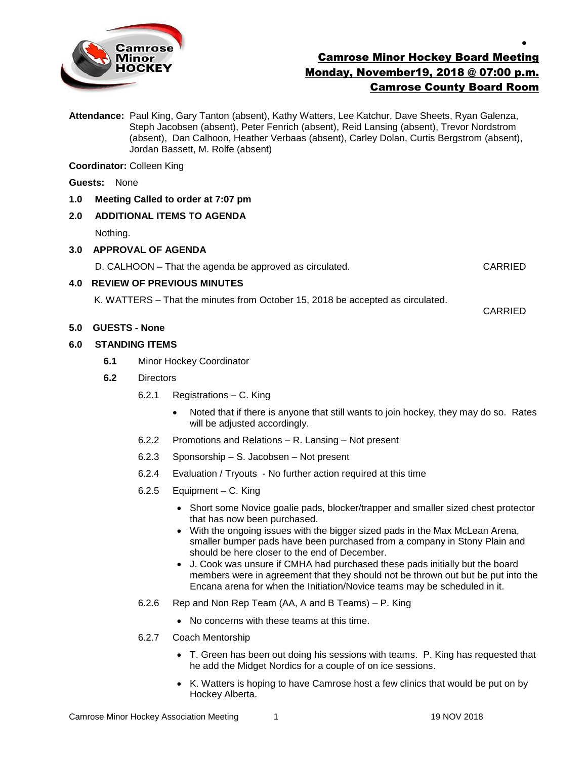

# Camrose Minor Hockey Board Meeting Monday, November19, 2018 @ 07:00 p.m. Camrose County Board Room

**Attendance:** Paul King, Gary Tanton (absent), Kathy Watters, Lee Katchur, Dave Sheets, Ryan Galenza, Steph Jacobsen (absent), Peter Fenrich (absent), Reid Lansing (absent), Trevor Nordstrom (absent), Dan Calhoon, Heather Verbaas (absent), Carley Dolan, Curtis Bergstrom (absent), Jordan Bassett, M. Rolfe (absent)

**Coordinator:** Colleen King

### **Guests:** None

**1.0 Meeting Called to order at 7:07 pm**

## **2.0 ADDITIONAL ITEMS TO AGENDA**

Nothing.

### **3.0 APPROVAL OF AGENDA**

D. CALHOON – That the agenda be approved as circulated. CARRIED

CARRIED

 $\bullet$ 

## **4.0 REVIEW OF PREVIOUS MINUTES**

K. WATTERS – That the minutes from October 15, 2018 be accepted as circulated.

### **5.0 GUESTS - None**

### **6.0 STANDING ITEMS**

- **6.1** Minor Hockey Coordinator
- **6.2** Directors
	- 6.2.1 Registrations C. King
		- Noted that if there is anyone that still wants to join hockey, they may do so. Rates will be adjusted accordingly.
	- 6.2.2 Promotions and Relations R. Lansing Not present
	- 6.2.3 Sponsorship S. Jacobsen Not present
	- 6.2.4 Evaluation / Tryouts No further action required at this time
	- 6.2.5 Equipment C. King
		- Short some Novice goalie pads, blocker/trapper and smaller sized chest protector that has now been purchased.
		- With the ongoing issues with the bigger sized pads in the Max McLean Arena, smaller bumper pads have been purchased from a company in Stony Plain and should be here closer to the end of December.
		- J. Cook was unsure if CMHA had purchased these pads initially but the board members were in agreement that they should not be thrown out but be put into the Encana arena for when the Initiation/Novice teams may be scheduled in it.
	- 6.2.6 Rep and Non Rep Team (AA, A and B Teams) P. King
		- No concerns with these teams at this time.
	- 6.2.7 Coach Mentorship
		- T. Green has been out doing his sessions with teams. P. King has requested that he add the Midget Nordics for a couple of on ice sessions.
		- K. Watters is hoping to have Camrose host a few clinics that would be put on by Hockey Alberta.